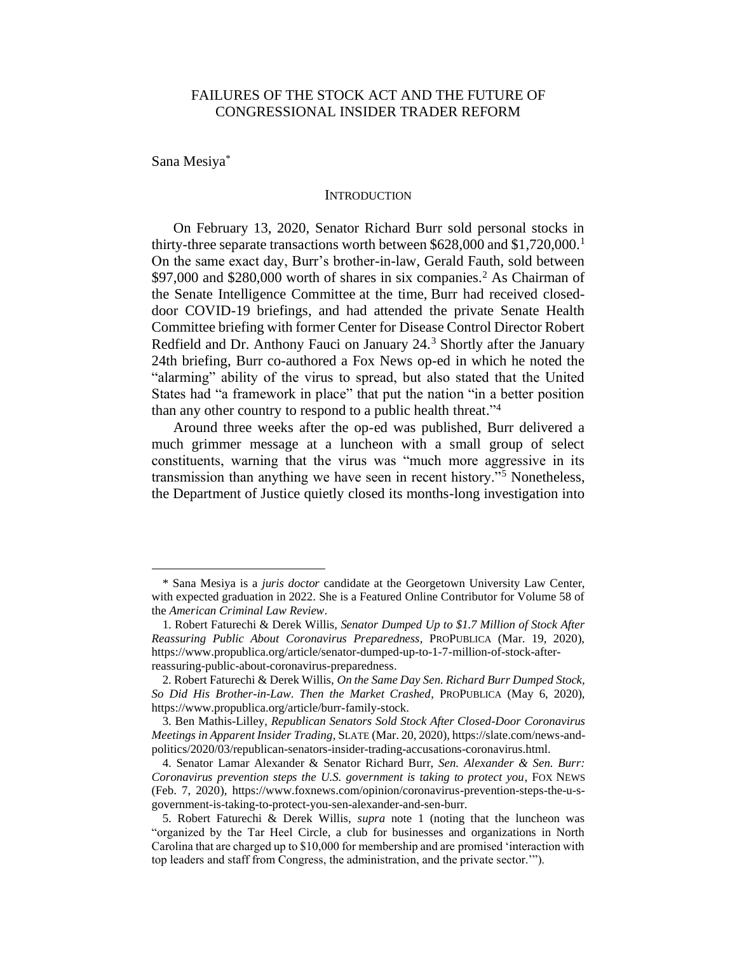# FAILURES OF THE STOCK ACT AND THE FUTURE OF CONGRESSIONAL INSIDER TRADER REFORM

Sana Mesiya\*

#### **INTRODUCTION**

On February 13, 2020, Senator Richard Burr sold personal stocks in thirty-three separate transactions worth between \$628,000 and \$1,720,000. 1 On the same exact day, Burr's brother-in-law, Gerald Fauth, sold between \$97,000 and \$280,000 worth of shares in six companies.<sup>2</sup> As Chairman of the Senate Intelligence Committee at the time, Burr had received closeddoor COVID-19 briefings, and had attended the private Senate Health Committee briefing with former Center for Disease Control Director Robert Redfield and Dr. Anthony Fauci on January 24.<sup>3</sup> Shortly after the January 24th briefing, Burr co-authored a Fox News op-ed in which he noted the "alarming" ability of the virus to spread, but also stated that the United States had "a framework in place" that put the nation "in a better position than any other country to respond to a public health threat." 4

Around three weeks after the op-ed was published, Burr delivered a much grimmer message at a luncheon with a small group of select constituents, warning that the virus was "much more aggressive in its transmission than anything we have seen in recent history."<sup>5</sup> Nonetheless, the Department of Justice quietly closed its months-long investigation into

<sup>\*</sup> Sana Mesiya is a *juris doctor* candidate at the Georgetown University Law Center, with expected graduation in 2022. She is a Featured Online Contributor for Volume 58 of the *American Criminal Law Review*.

<sup>1.</sup> Robert Faturechi & Derek Willis, *Senator Dumped Up to \$1.7 Million of Stock After Reassuring Public About Coronavirus Preparedness*, PROPUBLICA (Mar. 19, 2020), https://www.propublica.org/article/senator-dumped-up-to-1-7-million-of-stock-afterreassuring-public-about-coronavirus-preparedness.

<sup>2.</sup> Robert Faturechi & Derek Willis, *On the Same Day Sen. Richard Burr Dumped Stock, So Did His Brother-in-Law. Then the Market Crashed*, PROPUBLICA (May 6, 2020), https://www.propublica.org/article/burr-family-stock.

<sup>3.</sup> Ben Mathis-Lilley, *Republican Senators Sold Stock After Closed-Door Coronavirus Meetings in Apparent Insider Trading*, SLATE (Mar. 20, 2020), https://slate.com/news-andpolitics/2020/03/republican-senators-insider-trading-accusations-coronavirus.html.

<sup>4.</sup> Senator Lamar Alexander & Senator Richard Burr, *Sen. Alexander & Sen. Burr: Coronavirus prevention steps the U.S. government is taking to protect you*, FOX NEWS (Feb. 7, 2020), https://www.foxnews.com/opinion/coronavirus-prevention-steps-the-u-sgovernment-is-taking-to-protect-you-sen-alexander-and-sen-burr.

<sup>5.</sup> Robert Faturechi & Derek Willis, *supra* note 1 (noting that the luncheon was "organized by the Tar Heel Circle, a club for businesses and organizations in North Carolina that are charged up to \$10,000 for membership and are promised 'interaction with top leaders and staff from Congress, the administration, and the private sector.'").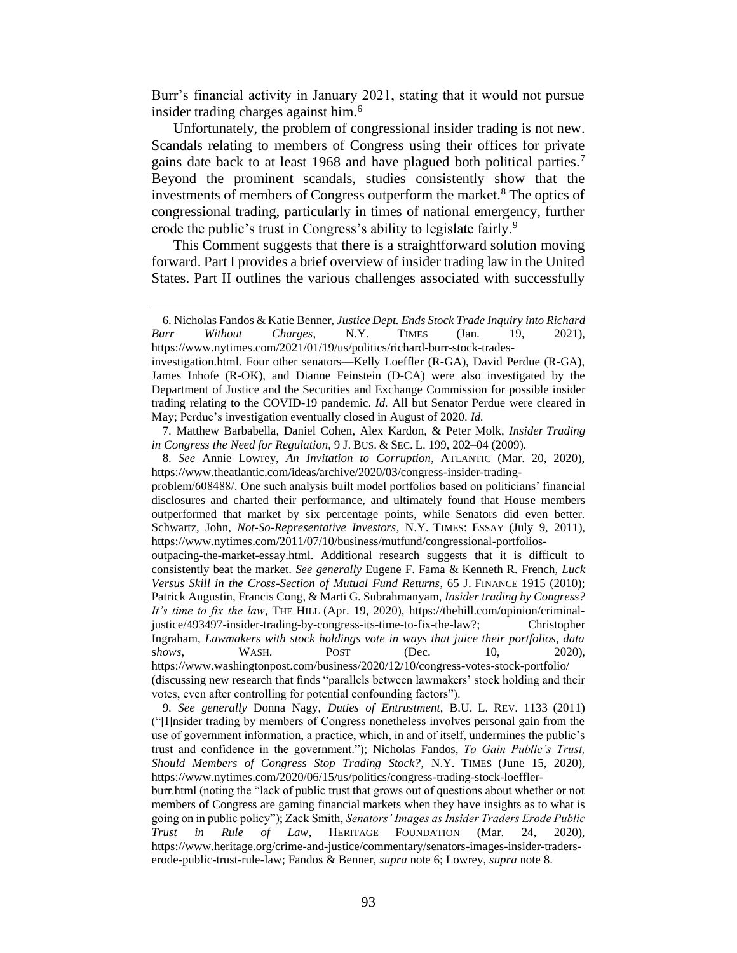Burr's financial activity in January 2021, stating that it would not pursue insider trading charges against him.<sup>6</sup>

Unfortunately, the problem of congressional insider trading is not new. Scandals relating to members of Congress using their offices for private gains date back to at least 1968 and have plagued both political parties.<sup>7</sup> Beyond the prominent scandals, studies consistently show that the investments of members of Congress outperform the market.<sup>8</sup> The optics of congressional trading, particularly in times of national emergency, further erode the public's trust in Congress's ability to legislate fairly.<sup>9</sup>

This Comment suggests that there is a straightforward solution moving forward. Part I provides a brief overview of insider trading law in the United States. Part II outlines the various challenges associated with successfully

<sup>6.</sup> Nicholas Fandos & Katie Benner, *Justice Dept. Ends Stock Trade Inquiry into Richard Burr Without Charges*, N.Y. TIMES (Jan. 19, 2021), https://www.nytimes.com/2021/01/19/us/politics/richard-burr-stock-trades-

investigation.html. Four other senators—Kelly Loeffler (R-GA), David Perdue (R-GA), James Inhofe (R-OK), and Dianne Feinstein (D-CA) were also investigated by the Department of Justice and the Securities and Exchange Commission for possible insider trading relating to the COVID-19 pandemic. *Id.* All but Senator Perdue were cleared in May; Perdue's investigation eventually closed in August of 2020. *Id.*

<sup>7.</sup> Matthew Barbabella, Daniel Cohen, Alex Kardon, & Peter Molk, *Insider Trading in Congress the Need for Regulation*, 9 J. BUS. & SEC. L. 199, 202–04 (2009).

<sup>8.</sup> *See* Annie Lowrey, *An Invitation to Corruption*, ATLANTIC (Mar. 20, 2020), https://www.theatlantic.com/ideas/archive/2020/03/congress-insider-tradingproblem/608488/. One such analysis built model portfolios based on politicians' financial disclosures and charted their performance, and ultimately found that House members outperformed that market by six percentage points, while Senators did even better. Schwartz, John, *Not-So-Representative Investors*, N.Y. TIMES: ESSAY (July 9, 2011),

https://www.nytimes.com/2011/07/10/business/mutfund/congressional-portfoliosoutpacing-the-market-essay.html. Additional research suggests that it is difficult to consistently beat the market. *See generally* Eugene F. Fama & Kenneth R. French, *Luck Versus Skill in the Cross-Section of Mutual Fund Returns*, 65 J. FINANCE 1915 (2010); Patrick Augustin, Francis Cong, & Marti G. Subrahmanyam, *Insider trading by Congress? It's time to fix the law*, THE HILL (Apr. 19, 2020), https://thehill.com/opinion/criminaljustice/493497-insider-trading-by-congress-its-time-to-fix-the-law?; Christopher Ingraham, *Lawmakers with stock holdings vote in ways that juice their portfolios, data*  shows, WASH. POST (Dec. 10, 2020), https://www.washingtonpost.com/business/2020/12/10/congress-votes-stock-portfolio/ (discussing new research that finds "parallels between lawmakers' stock holding and their

votes, even after controlling for potential confounding factors").

<sup>9.</sup> *See generally* Donna Nagy, *Duties of Entrustment*, B.U. L. REV. 1133 (2011) ("[I]nsider trading by members of Congress nonetheless involves personal gain from the use of government information, a practice, which, in and of itself, undermines the public's trust and confidence in the government."); Nicholas Fandos, *To Gain Public's Trust, Should Members of Congress Stop Trading Stock?*, N.Y. TIMES (June 15, 2020), https://www.nytimes.com/2020/06/15/us/politics/congress-trading-stock-loeffler-

burr.html (noting the "lack of public trust that grows out of questions about whether or not members of Congress are gaming financial markets when they have insights as to what is going on in public policy"); Zack Smith, *Senators' Images as Insider Traders Erode Public Trust in Rule of Law*, HERITAGE FOUNDATION (Mar. 24, 2020), https://www.heritage.org/crime-and-justice/commentary/senators-images-insider-traderserode-public-trust-rule-law; Fandos & Benner, *supra* note 6; Lowrey, *supra* note 8.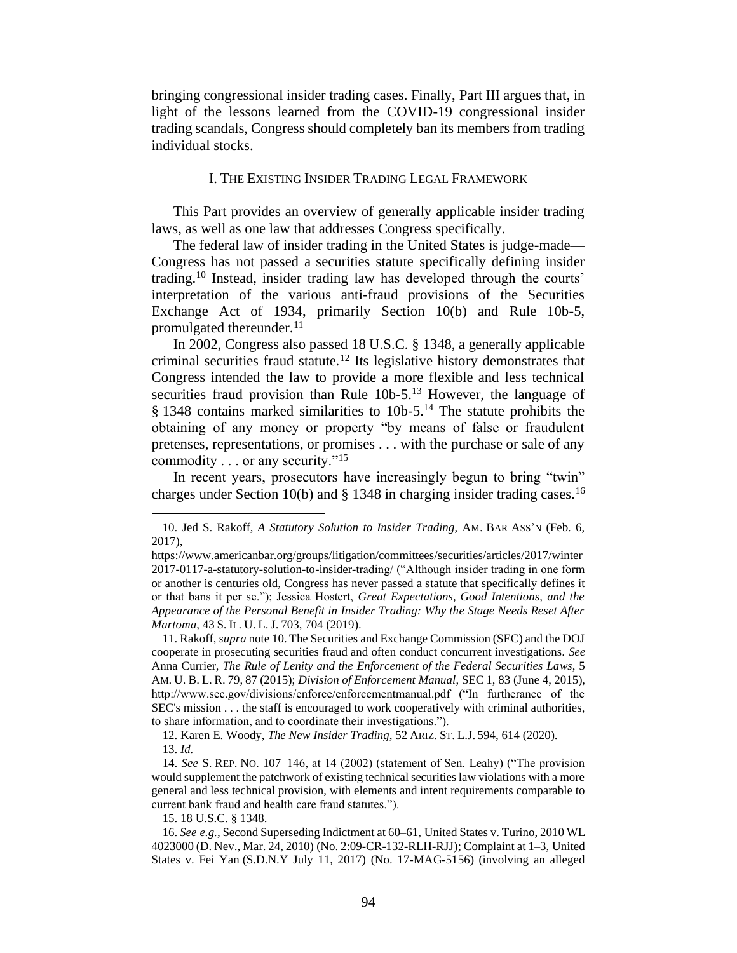bringing congressional insider trading cases. Finally, Part III argues that, in light of the lessons learned from the COVID-19 congressional insider trading scandals, Congress should completely ban its members from trading individual stocks.

### I. THE EXISTING INSIDER TRADING LEGAL FRAMEWORK

This Part provides an overview of generally applicable insider trading laws, as well as one law that addresses Congress specifically.

The federal law of insider trading in the United States is judge-made— Congress has not passed a securities statute specifically defining insider trading.<sup>10</sup> Instead, insider trading law has developed through the courts' interpretation of the various anti-fraud provisions of the Securities Exchange Act of 1934, primarily Section 10(b) and Rule 10b-5, promulgated thereunder.<sup>11</sup>

In 2002, Congress also passed 18 U.S.C. § 1348, a generally applicable criminal securities fraud statute.<sup>12</sup> Its legislative history demonstrates that Congress intended the law to provide a more flexible and less technical securities fraud provision than Rule  $10b-5$ .<sup>13</sup> However, the language of  $§$  1348 contains marked similarities to 10b-5.<sup>14</sup> The statute prohibits the obtaining of any money or property "by means of false or fraudulent pretenses, representations, or promises . . . with the purchase or sale of any commodity . . . or any security."<sup>15</sup>

In recent years, prosecutors have increasingly begun to bring "twin" charges under Section 10(b) and  $\S$  1348 in charging insider trading cases.<sup>16</sup>

15. 18 U.S.C. § 1348.

<sup>10.</sup> Jed S. Rakoff, *A Statutory Solution to Insider Trading*, AM. BAR ASS'N (Feb. 6, 2017),

https://www.americanbar.org/groups/litigation/committees/securities/articles/2017/winter 2017-0117-a-statutory-solution-to-insider-trading/ ("Although insider trading in one form or another is centuries old, Congress has never passed a statute that specifically defines it or that bans it per se."); Jessica Hostert, *Great Expectations, Good Intentions, and the Appearance of the Personal Benefit in Insider Trading: Why the Stage Needs Reset After Martoma*, 43S. IL. U. L. J. 703, 704 (2019).

<sup>11.</sup> Rakoff, *supra* note 10. The Securities and Exchange Commission (SEC) and the DOJ cooperate in prosecuting securities fraud and often conduct concurrent investigations. *See*  Anna Currier, *The Rule of Lenity and the Enforcement of the Federal Securities Laws*, 5 AM. U. B. L. R. 79, 87 (2015); *Division of Enforcement Manual*, SEC 1, 83 (June 4, 2015), http://www.sec.gov/divisions/enforce/enforcementmanual.pdf ("In furtherance of the SEC's mission . . . the staff is encouraged to work cooperatively with criminal authorities, to share information, and to coordinate their investigations.").

<sup>12.</sup> Karen E. Woody, *The New Insider Trading*, 52 ARIZ.ST. L.J. 594, 614 (2020). 13. *Id.*

<sup>14.</sup> *See* S. REP. NO. 107–146, at 14 (2002) (statement of Sen. Leahy) ("The provision would supplement the patchwork of existing technical securities law violations with a more general and less technical provision, with elements and intent requirements comparable to current bank fraud and health care fraud statutes.").

<sup>16.</sup> *See e.g.*, Second Superseding Indictment at 60–61, United States v. Turino, 2010 WL 4023000 (D. Nev., Mar. 24, 2010) (No. 2:09-CR-132-RLH-RJJ); Complaint at 1–3, United States v. Fei Yan (S.D.N.Y July 11, 2017) (No. 17-MAG-5156) (involving an alleged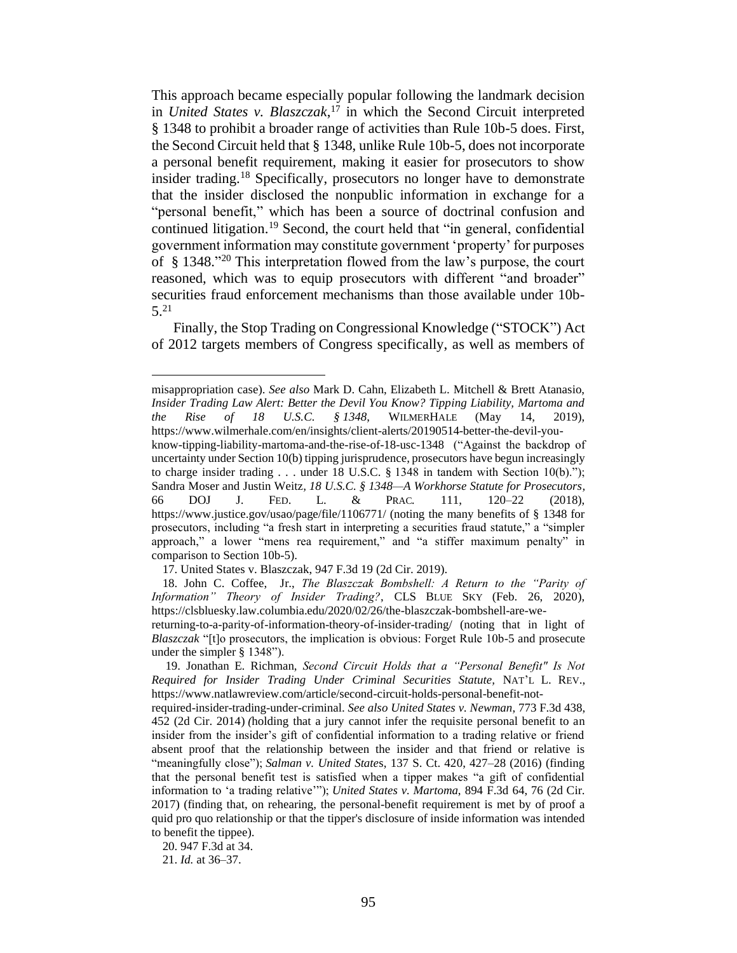This approach became especially popular following the landmark decision in *United States v. Blaszczak*, <sup>17</sup> in which the Second Circuit interpreted § 1348 to prohibit a broader range of activities than Rule 10b-5 does. First, the Second Circuit held that § 1348, unlike Rule 10b-5, does not incorporate a personal benefit requirement, making it easier for prosecutors to show insider trading.<sup>18</sup> Specifically, prosecutors no longer have to demonstrate that the insider disclosed the nonpublic information in exchange for a "personal benefit," which has been a source of doctrinal confusion and continued litigation. <sup>19</sup> Second, the court held that "in general, confidential government information may constitute government 'property' for purposes of § 1348." <sup>20</sup> This interpretation flowed from the law's purpose, the court reasoned, which was to equip prosecutors with different "and broader" securities fraud enforcement mechanisms than those available under 10b-5. 21

Finally, the Stop Trading on Congressional Knowledge ("STOCK") Act of 2012 targets members of Congress specifically, as well as members of

misappropriation case). *See also* Mark D. Cahn, Elizabeth L. Mitchell & Brett Atanasio, *Insider Trading Law Alert: Better the Devil You Know? Tipping Liability, Martoma and the Rise of 18 U.S.C. § 1348*, WILMERHALE (May 14, 2019), https://www.wilmerhale.com/en/insights/client-alerts/20190514-better-the-devil-you-

know-tipping-liability-martoma-and-the-rise-of-18-usc-1348 ("Against the backdrop of uncertainty under Section 10(b) tipping jurisprudence, prosecutors have begun increasingly to charge insider trading . . . under 18 U.S.C.  $\S$  1348 in tandem with Section 10(b)."); Sandra Moser and Justin Weitz*, 18 U.S.C. § 1348—A Workhorse Statute for Prosecutors,*  66 DOJ J. FED. L. & PRAC*.* 111, 120–22 (2018), https://www.justice.gov/usao/page/file/1106771/ (noting the many benefits of § 1348 for prosecutors, including "a fresh start in interpreting a securities fraud statute," a "simpler approach," a lower "mens rea requirement," and "a stiffer maximum penalty" in comparison to Section 10b-5).

<sup>17.</sup> United States v. Blaszczak, 947 F.3d 19 (2d Cir. 2019).

<sup>18.</sup> John C. Coffee, Jr., *The Blaszczak Bombshell: A Return to the "Parity of Information" Theory of Insider Trading?*, CLS BLUE SKY (Feb. 26, 2020), https://clsbluesky.law.columbia.edu/2020/02/26/the-blaszczak-bombshell-are-wereturning-to-a-parity-of-information-theory-of-insider-trading/ (noting that in light of *Blaszczak* "[t]o prosecutors, the implication is obvious: Forget Rule 10b-5 and prosecute

under the simpler § 1348").

<sup>19.</sup> Jonathan E. Richman, *Second Circuit Holds that a "Personal Benefit" Is Not Required for Insider Trading Under Criminal Securities Statute,* NAT'L L. REV., https://www.natlawreview.com/article/second-circuit-holds-personal-benefit-not-

required-insider-trading-under-criminal. *See also United States v. Newman*, 773 F.3d 438, 452 (2d Cir. 2014) *(*holding that a jury cannot infer the requisite personal benefit to an insider from the insider's gift of confidential information to a trading relative or friend absent proof that the relationship between the insider and that friend or relative is "meaningfully close"); *Salman v. United State*s, 137 S. Ct. 420, 427–28 (2016) (finding that the personal benefit test is satisfied when a tipper makes "a gift of confidential information to 'a trading relative'"); *United States v. Martoma*, 894 F.3d 64, 76 (2d Cir. 2017) (finding that, on rehearing, the personal-benefit requirement is met by of proof a quid pro quo relationship or that the tipper's disclosure of inside information was intended to benefit the tippee).

<sup>20.</sup> 947 F.3d at 34.

<sup>21.</sup> *Id.* at 36–37.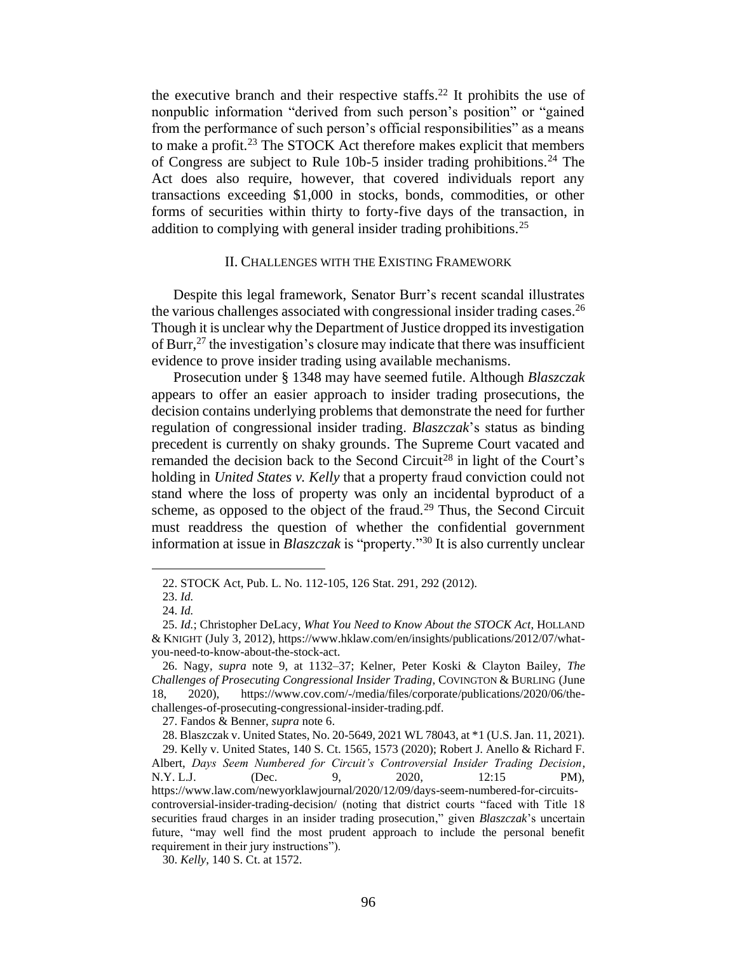the executive branch and their respective staffs.<sup>22</sup> It prohibits the use of nonpublic information "derived from such person's position" or "gained from the performance of such person's official responsibilities" as a means to make a profit.<sup>23</sup> The STOCK Act therefore makes explicit that members of Congress are subject to Rule 10b-5 insider trading prohibitions.<sup>24</sup> The Act does also require, however, that covered individuals report any transactions exceeding \$1,000 in stocks, bonds, commodities, or other forms of securities within thirty to forty-five days of the transaction, in addition to complying with general insider trading prohibitions.<sup>25</sup>

## II. CHALLENGES WITH THE EXISTING FRAMEWORK

Despite this legal framework, Senator Burr's recent scandal illustrates the various challenges associated with congressional insider trading cases.<sup>26</sup> Though it is unclear why the Department of Justice dropped its investigation of Burr,<sup>27</sup> the investigation's closure may indicate that there was insufficient evidence to prove insider trading using available mechanisms.

Prosecution under § 1348 may have seemed futile. Although *Blaszczak*  appears to offer an easier approach to insider trading prosecutions, the decision contains underlying problems that demonstrate the need for further regulation of congressional insider trading. *Blaszczak*'s status as binding precedent is currently on shaky grounds. The Supreme Court vacated and remanded the decision back to the Second Circuit<sup>28</sup> in light of the Court's holding in *United States v. Kelly* that a property fraud conviction could not stand where the loss of property was only an incidental byproduct of a scheme, as opposed to the object of the fraud.<sup>29</sup> Thus, the Second Circuit must readdress the question of whether the confidential government information at issue in *Blaszczak* is "property."<sup>30</sup> It is also currently unclear

27. Fandos & Benner, *supra* note 6.

<sup>22.</sup> STOCK Act, Pub. L. No. 112-105, 126 Stat. 291, 292 (2012).

<sup>23.</sup> *Id.*

<sup>24.</sup> *Id.*

<sup>25.</sup> *Id.*; Christopher DeLacy, *What You Need to Know About the STOCK Act*, HOLLAND & KNIGHT (July 3, 2012), https://www.hklaw.com/en/insights/publications/2012/07/whatyou-need-to-know-about-the-stock-act.

<sup>26.</sup> Nagy, *supra* note 9, at 1132–37; Kelner, Peter Koski & Clayton Bailey, *The Challenges of Prosecuting Congressional Insider Trading*, COVINGTON & BURLING (June 18, 2020), https://www.cov.com/-/media/files/corporate/publications/2020/06/thechallenges-of-prosecuting-congressional-insider-trading.pdf.

<sup>28.</sup> Blaszczak v. United States, No. 20-5649, 2021 WL 78043, at \*1 (U.S. Jan. 11, 2021).

<sup>29.</sup> Kelly v. United States, 140 S. Ct. 1565, 1573 (2020); Robert J. Anello & Richard F. Albert, *Days Seem Numbered for Circuit's Controversial Insider Trading Decision*, N.Y. L.J. (Dec. 9, 2020, 12:15 PM), https://www.law.com/newyorklawjournal/2020/12/09/days-seem-numbered-for-circuitscontroversial-insider-trading-decision/ (noting that district courts "faced with Title 18 securities fraud charges in an insider trading prosecution," given *Blaszczak*'s uncertain future, "may well find the most prudent approach to include the personal benefit requirement in their jury instructions").

<sup>30.</sup> *Kelly*, 140 S. Ct. at 1572.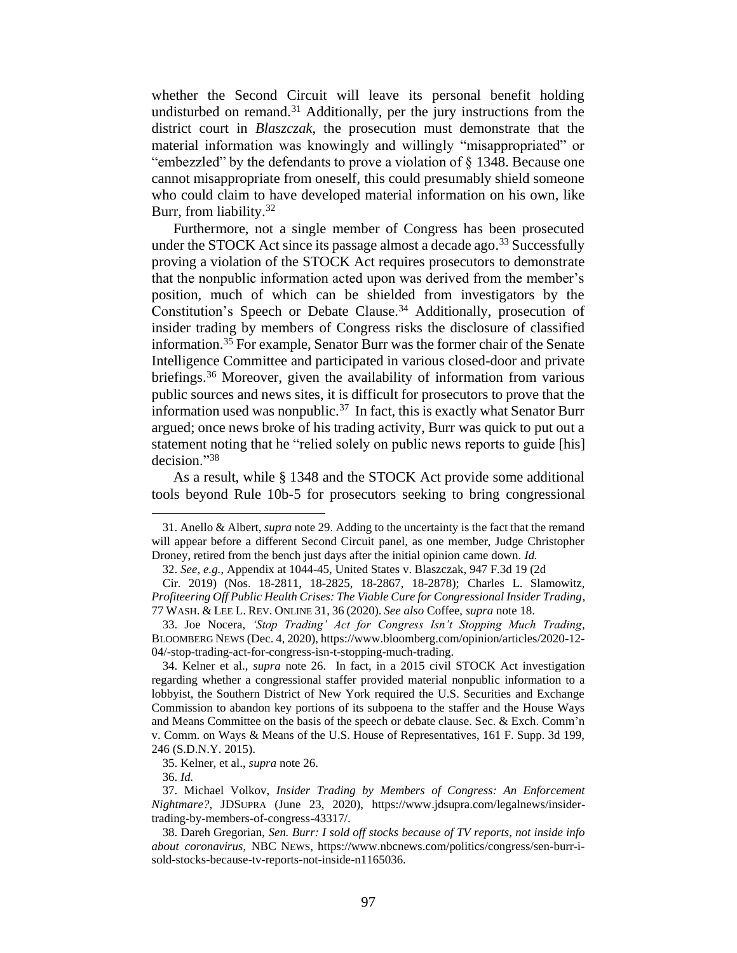whether the Second Circuit will leave its personal benefit holding undisturbed on remand.<sup>31</sup> Additionally, per the jury instructions from the district court in *Blaszczak*, the prosecution must demonstrate that the material information was knowingly and willingly "misappropriated" or "embezzled" by the defendants to prove a violation of § 1348. Because one cannot misappropriate from oneself, this could presumably shield someone who could claim to have developed material information on his own, like Burr, from liability.<sup>32</sup>

Furthermore, not a single member of Congress has been prosecuted under the STOCK Act since its passage almost a decade ago.<sup>33</sup> Successfully proving a violation of the STOCK Act requires prosecutors to demonstrate that the nonpublic information acted upon was derived from the member's position, much of which can be shielded from investigators by the Constitution's Speech or Debate Clause.<sup>34</sup> Additionally, prosecution of insider trading by members of Congress risks the disclosure of classified information. <sup>35</sup> For example, Senator Burr was the former chair of the Senate Intelligence Committee and participated in various closed-door and private briefings.<sup>36</sup> Moreover, given the availability of information from various public sources and news sites, it is difficult for prosecutors to prove that the information used was nonpublic. 37 In fact, this is exactly what Senator Burr argued; once news broke of his trading activity, Burr was quick to put out a statement noting that he "relied solely on public news reports to guide [his] decision."<sup>38</sup>

As a result, while § 1348 and the STOCK Act provide some additional tools beyond Rule 10b-5 for prosecutors seeking to bring congressional

<sup>31.</sup> Anello & Albert, *supra* note 29. Adding to the uncertainty is the fact that the remand will appear before a different Second Circuit panel, as one member, Judge Christopher Droney, retired from the bench just days after the initial opinion came down. *Id.*

<sup>32.</sup> *See, e.g.*, Appendix at 1044-45, United States v. Blaszczak, 947 F.3d 19 (2d

Cir. 2019) (Nos. 18-2811, 18-2825, 18-2867, 18-2878); Charles L. Slamowitz, *Profiteering Off Public Health Crises: The Viable Cure for Congressional Insider Trading*, 77 WASH. & LEE L. REV. ONLINE 31, 36 (2020). *See also* Coffee, *supra* note 18.

<sup>33.</sup> Joe Nocera, *'Stop Trading' Act for Congress Isn't Stopping Much Trading*, BLOOMBERG NEWS (Dec. 4, 2020), https://www.bloomberg.com/opinion/articles/2020-12- 04/-stop-trading-act-for-congress-isn-t-stopping-much-trading.

<sup>34.</sup> Kelner et al., *supra* note 26. In fact, in a 2015 civil STOCK Act investigation regarding whether a congressional staffer provided material nonpublic information to a lobbyist, the Southern District of New York required the U.S. Securities and Exchange Commission to abandon key portions of its subpoena to the staffer and the House Ways and Means Committee on the basis of the speech or debate clause. Sec. & Exch. Comm'n v. Comm. on Ways & Means of the U.S. House of Representatives, 161 F. Supp. 3d 199, 246 (S.D.N.Y. 2015).

<sup>35.</sup> Kelner, et al., *supra* note 26.

<sup>36.</sup> *Id.*

<sup>37.</sup> Michael Volkov, *Insider Trading by Members of Congress: An Enforcement Nightmare?*, JDSUPRA (June 23, 2020), https://www.jdsupra.com/legalnews/insidertrading-by-members-of-congress-43317/.

<sup>38.</sup> Dareh Gregorian, *Sen. Burr: I sold off stocks because of TV reports, not inside info about coronavirus*, NBC NEWS, https://www.nbcnews.com/politics/congress/sen-burr-isold-stocks-because-tv-reports-not-inside-n1165036.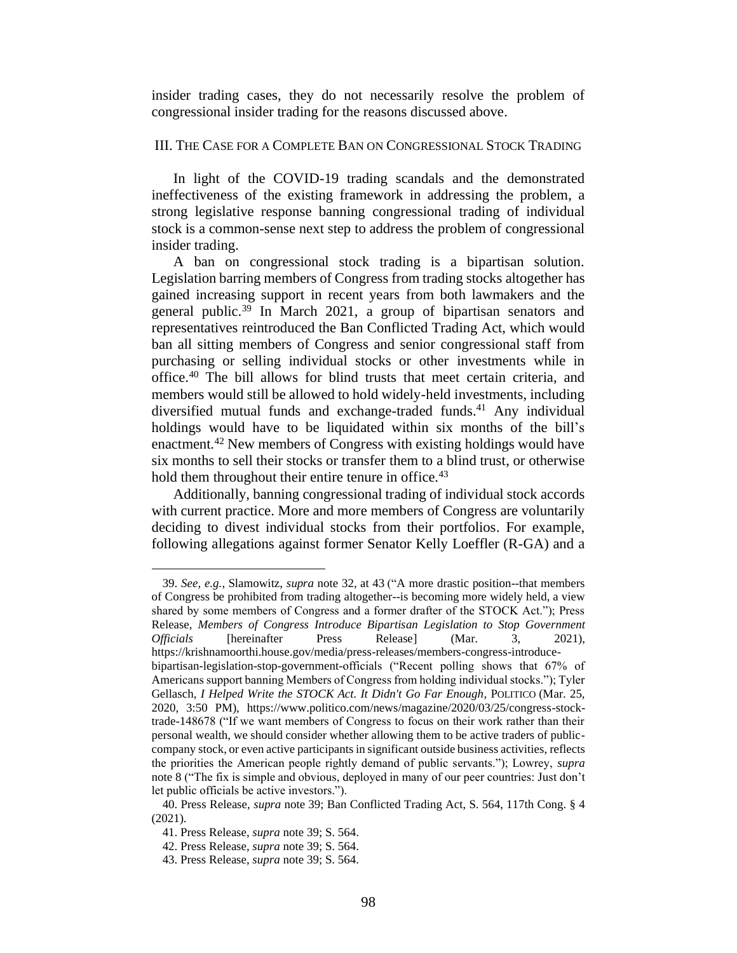insider trading cases, they do not necessarily resolve the problem of congressional insider trading for the reasons discussed above.

## III. THE CASE FOR A COMPLETE BAN ON CONGRESSIONAL STOCK TRADING

In light of the COVID-19 trading scandals and the demonstrated ineffectiveness of the existing framework in addressing the problem, a strong legislative response banning congressional trading of individual stock is a common-sense next step to address the problem of congressional insider trading.

A ban on congressional stock trading is a bipartisan solution. Legislation barring members of Congress from trading stocks altogether has gained increasing support in recent years from both lawmakers and the general public.<sup>39</sup> In March 2021, a group of bipartisan senators and representatives reintroduced the Ban Conflicted Trading Act, which would ban all sitting members of Congress and senior congressional staff from purchasing or selling individual stocks or other investments while in office.<sup>40</sup> The bill allows for blind trusts that meet certain criteria, and members would still be allowed to hold widely-held investments, including diversified mutual funds and exchange-traded funds.<sup>41</sup> Any individual holdings would have to be liquidated within six months of the bill's enactment.<sup>42</sup> New members of Congress with existing holdings would have six months to sell their stocks or transfer them to a blind trust, or otherwise hold them throughout their entire tenure in office.<sup>43</sup>

Additionally, banning congressional trading of individual stock accords with current practice. More and more members of Congress are voluntarily deciding to divest individual stocks from their portfolios. For example, following allegations against former Senator Kelly Loeffler (R-GA) and a

39. *See, e.g.*, Slamowitz, *supra* note 32, at 43 ("A more drastic position--that members of Congress be prohibited from trading altogether--is becoming more widely held, a view shared by some members of Congress and a former drafter of the STOCK Act."); Press Release, *Members of Congress Introduce Bipartisan Legislation to Stop Government Officials* [hereinafter Press Release] (Mar. 3, 2021), https://krishnamoorthi.house.gov/media/press-releases/members-congress-introducebipartisan-legislation-stop-government-officials ("Recent polling shows that 67% of Americans support banning Members of Congress from holding individual stocks."); Tyler Gellasch, *I Helped Write the STOCK Act. It Didn't Go Far Enough*, POLITICO (Mar. 25, 2020, 3:50 PM), https://www.politico.com/news/magazine/2020/03/25/congress-stocktrade-148678 ("If we want members of Congress to focus on their work rather than their personal wealth, we should consider whether allowing them to be active traders of publiccompany stock, or even active participants in significant outside business activities, reflects the priorities the American people rightly demand of public servants."); Lowrey, *supra* note 8 ("The fix is simple and obvious, deployed in many of our peer countries: Just don't let public officials be active investors.").

<sup>40.</sup> Press Release, *supra* note 39; Ban Conflicted Trading Act, S. 564, 117th Cong. § 4 (2021).

<sup>41.</sup> Press Release, *supra* note 39; S. 564.

<sup>42.</sup> Press Release, *supra* note 39; S. 564.

<sup>43.</sup> Press Release, *supra* note 39; S. 564.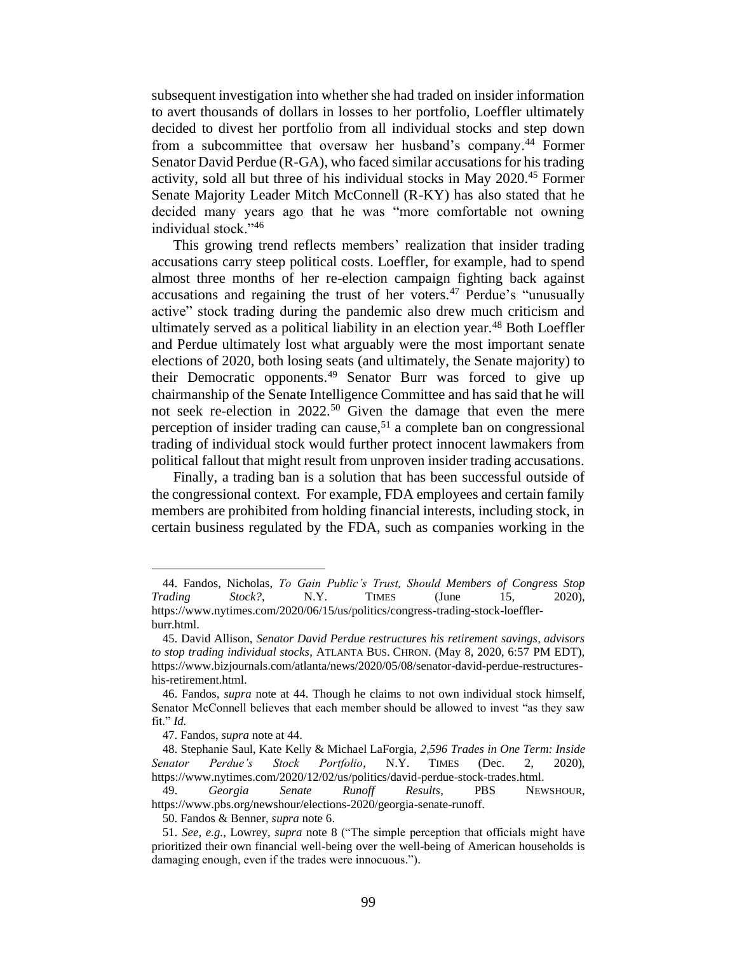subsequent investigation into whether she had traded on insider information to avert thousands of dollars in losses to her portfolio, Loeffler ultimately decided to divest her portfolio from all individual stocks and step down from a subcommittee that oversaw her husband's company. <sup>44</sup> Former Senator David Perdue (R-GA), who faced similar accusations for his trading activity, sold all but three of his individual stocks in May 2020.<sup>45</sup> Former Senate Majority Leader Mitch McConnell (R-KY) has also stated that he decided many years ago that he was "more comfortable not owning individual stock."<sup>46</sup>

This growing trend reflects members' realization that insider trading accusations carry steep political costs. Loeffler, for example, had to spend almost three months of her re-election campaign fighting back against accusations and regaining the trust of her voters.<sup>47</sup> Perdue's "unusually active" stock trading during the pandemic also drew much criticism and ultimately served as a political liability in an election year.<sup>48</sup> Both Loeffler and Perdue ultimately lost what arguably were the most important senate elections of 2020, both losing seats (and ultimately, the Senate majority) to their Democratic opponents. <sup>49</sup> Senator Burr was forced to give up chairmanship of the Senate Intelligence Committee and has said that he will not seek re-election in 2022.<sup>50</sup> Given the damage that even the mere perception of insider trading can cause, <sup>51</sup> a complete ban on congressional trading of individual stock would further protect innocent lawmakers from political fallout that might result from unproven insider trading accusations.

Finally, a trading ban is a solution that has been successful outside of the congressional context. For example, FDA employees and certain family members are prohibited from holding financial interests, including stock, in certain business regulated by the FDA, such as companies working in the

<sup>44.</sup> Fandos, Nicholas, *To Gain Public's Trust, Should Members of Congress Stop Trading Stock?*, N.Y. TIMES (June 15, 2020), https://www.nytimes.com/2020/06/15/us/politics/congress-trading-stock-loefflerburr.html.

<sup>45.</sup> David Allison, *Senator David Perdue restructures his retirement savings, advisors to stop trading individual stocks*, ATLANTA BUS. CHRON. (May 8, 2020, 6:57 PM EDT), https://www.bizjournals.com/atlanta/news/2020/05/08/senator-david-perdue-restructureshis-retirement.html.

<sup>46.</sup> Fandos, *supra* note at 44. Though he claims to not own individual stock himself, Senator McConnell believes that each member should be allowed to invest "as they saw fit." *Id.*

<sup>47.</sup> Fandos, *supra* note at 44.

<sup>48.</sup> Stephanie Saul, Kate Kelly & Michael LaForgia, *2,596 Trades in One Term: Inside Senator Perdue's Stock Portfolio*, N.Y. TIMES (Dec. 2, 2020), https://www.nytimes.com/2020/12/02/us/politics/david-perdue-stock-trades.html.

<sup>49.</sup> *Georgia Senate Runoff Results*, PBS NEWSHOUR, https://www.pbs.org/newshour/elections-2020/georgia-senate-runoff.

<sup>50.</sup> Fandos & Benner, *supra* note 6.

<sup>51.</sup> *See, e.g.*, Lowrey, *supra* note 8 ("The simple perception that officials might have prioritized their own financial well-being over the well-being of American households is damaging enough, even if the trades were innocuous.").